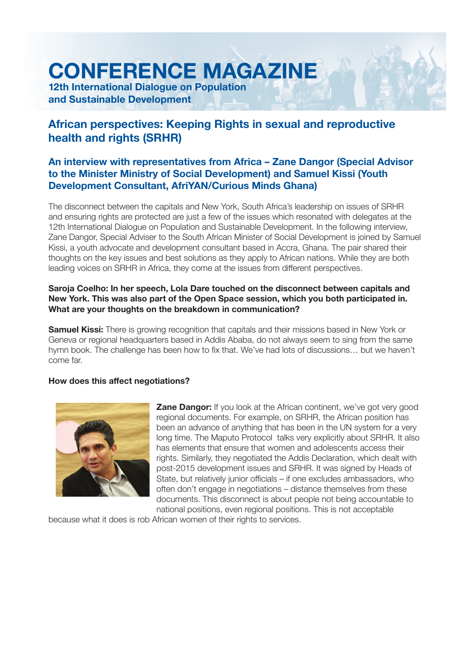# **CONFERENCE MAGAZINE**

**12th International Dialogue on Population and Sustainable Development**

## **African perspectives: Keeping Rights in sexual and reproductive health and rights (SRHR)**

### **An interview with representatives from Africa – Zane Dangor (Special Advisor to the Minister Ministry of Social Development) and Samuel Kissi (Youth Development Consultant, AfriYAN/Curious Minds Ghana)**

The disconnect between the capitals and New York, South Africa's leadership on issues of SRHR and ensuring rights are protected are just a few of the issues which resonated with delegates at the 12th International Dialogue on Population and Sustainable Development. In the following interview, Zane Dangor, Special Adviser to the South African Minister of Social Development is joined by Samuel Kissi, a youth advocate and development consultant based in Accra, Ghana. The pair shared their thoughts on the key issues and best solutions as they apply to African nations. While they are both leading voices on SRHR in Africa, they come at the issues from different perspectives.

#### **Saroja Coelho: In her speech, Lola Dare touched on the disconnect between capitals and New York. This was also part of the Open Space session, which you both participated in. What are your thoughts on the breakdown in communication?**

**Samuel Kissi:** There is growing recognition that capitals and their missions based in New York or Geneva or regional headquarters based in Addis Ababa, do not always seem to sing from the same hymn book. The challenge has been how to fix that. We've had lots of discussions... but we haven't come far.

#### **How does this affect negotiations?**



**Zane Dangor:** If you look at the African continent, we've got very good regional documents. For example, on SRHR, the African position has been an advance of anything that has been in the UN system for a very long time. The Maputo Protocol talks very explicitly about SRHR. It also has elements that ensure that women and adolescents access their rights. Similarly, they negotiated the Addis Declaration, which dealt with post-2015 development issues and SRHR. It was signed by Heads of State, but relatively junior officials – if one excludes ambassadors, who often don't engage in negotiations – distance themselves from these documents. This disconnect is about people not being accountable to national positions, even regional positions. This is not acceptable

because what it does is rob African women of their rights to services.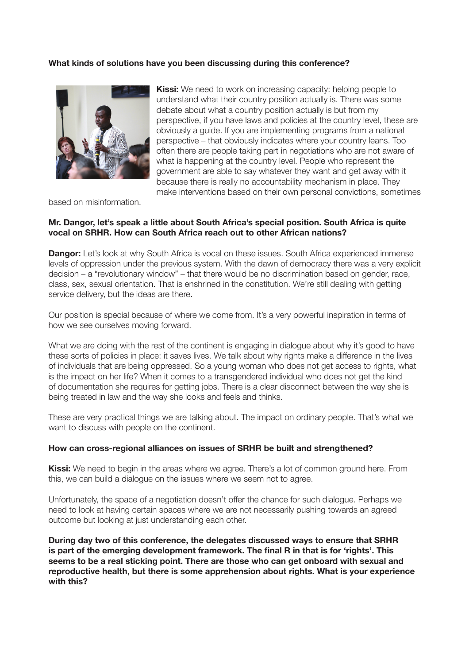#### **What kinds of solutions have you been discussing during this conference?**



**Kissi:** We need to work on increasing capacity: helping people to understand what their country position actually is. There was some debate about what a country position actually is but from my perspective, if you have laws and policies at the country level, these are obviously a guide. If you are implementing programs from a national perspective – that obviously indicates where your country leans. Too often there are people taking part in negotiations who are not aware of what is happening at the country level. People who represent the government are able to say whatever they want and get away with it because there is really no accountability mechanism in place. They make interventions based on their own personal convictions, sometimes

based on misinformation.

#### **Mr. Dangor, let's speak a little about South Africa's special position. South Africa is quite vocal on SRHR. How can South Africa reach out to other African nations?**

**Dangor:** Let's look at why South Africa is vocal on these issues. South Africa experienced immense levels of oppression under the previous system. With the dawn of democracy there was a very explicit  $decision - a$  "revolutionary window" – that there would be no discrimination based on gender, race, class, sex, sexual orientation. That is enshrined in the constitution. We're still dealing with getting service delivery, but the ideas are there.

Our position is special because of where we come from. It's a very powerful inspiration in terms of how we see ourselves moving forward.

What we are doing with the rest of the continent is engaging in dialogue about why it's good to have these sorts of policies in place: it saves lives. We talk about why rights make a difference in the lives of individuals that are being oppressed. So a young woman who does not get access to rights, what is the impact on her life? When it comes to a transgendered individual who does not get the kind of documentation she requires for getting jobs. There is a clear disconnect between the way she is being treated in law and the way she looks and feels and thinks.

These are very practical things we are talking about. The impact on ordinary people. That's what we want to discuss with people on the continent.

#### **How can cross-regional alliances on issues of SRHR be built and strengthened?**

**Kissi:** We need to begin in the areas where we agree. There's a lot of common ground here. From this, we can build a dialogue on the issues where we seem not to agree.

Unfortunately, the space of a negotiation doesn't offer the chance for such dialogue. Perhaps we need to look at having certain spaces where we are not necessarily pushing towards an agreed outcome but looking at just understanding each other.

**During day two of this conference, the delegates discussed ways to ensure that SRHR**  is part of the emerging development framework. The final R in that is for 'rights'. This **seems to be a real sticking point. There are those who can get onboard with sexual and reproductive health, but there is some apprehension about rights. What is your experience with this?**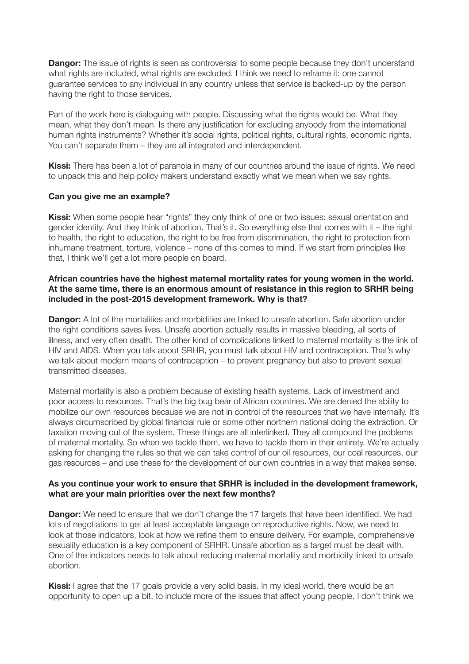**Dangor:** The issue of rights is seen as controversial to some people because they don't understand what rights are included, what rights are excluded. I think we need to reframe it: one cannot guarantee services to any individual in any country unless that service is backed-up by the person having the right to those services.

Part of the work here is dialoguing with people. Discussing what the rights would be. What they mean, what they don't mean. Is there any justification for excluding anybody from the international human rights instruments? Whether it's social rights, political rights, cultural rights, economic rights, You can't separate them – they are all integrated and interdependent.

**Kissi:** There has been a lot of paranoia in many of our countries around the issue of rights. We need to unpack this and help policy makers understand exactly what we mean when we say rights.

#### **Can you give me an example?**

**Kissi:** When some people hear "rights" they only think of one or two issues: sexual orientation and gender identity. And they think of abortion. That's it. So everything else that comes with it  $-$  the right to health, the right to education, the right to be free from discrimination, the right to protection from inhumane treatment, torture, violence – none of this comes to mind. If we start from principles like that, I think we'll get a lot more people on board.

#### **African countries have the highest maternal mortality rates for young women in the world. At the same time, there is an enormous amount of resistance in this region to SRHR being included in the post-2015 development framework. Why is that?**

**Dangor:** A lot of the mortalities and morbidities are linked to unsafe abortion. Safe abortion under the right conditions saves lives. Unsafe abortion actually results in massive bleeding, all sorts of illness, and very often death. The other kind of complications linked to maternal mortality is the link of HIV and AIDS. When you talk about SRHR, you must talk about HIV and contraception. That's why we talk about modern means of contraception – to prevent pregnancy but also to prevent sexual transmitted diseases.

Maternal mortality is also a problem because of existing health systems. Lack of investment and poor access to resources. That's the big bug bear of African countries. We are denied the ability to mobilize our own resources because we are not in control of the resources that we have internally. It's always circumscribed by global financial rule or some other northern national doing the extraction. Or taxation moving out of the system. These things are all interlinked. They all compound the problems of maternal mortality. So when we tackle them, we have to tackle them in their entirety. We're actually asking for changing the rules so that we can take control of our oil resources, our coal resources, our aas resources – and use these for the development of our own countries in a way that makes sense.

#### **As you continue your work to ensure that SRHR is included in the development framework, what are your main priorities over the next few months?**

**Dangor:** We need to ensure that we don't change the 17 targets that have been identified. We had lots of negotiations to get at least acceptable language on reproductive rights. Now, we need to look at those indicators, look at how we refine them to ensure delivery. For example, comprehensive sexuality education is a key component of SRHR. Unsafe abortion as a target must be dealt with. One of the indicators needs to talk about reducing maternal mortality and morbidity linked to unsafe abortion.

**Kissi:** I agree that the 17 goals provide a very solid basis. In my ideal world, there would be an opportunity to open up a bit, to include more of the issues that affect young people. I don't think we